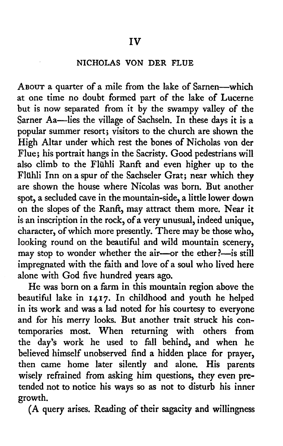## NICHOLAS VON DER FLUE

ABOUT a quarter of a mile from the lake of Sarnen-which at one time no doubt formed part of the lake of Lucerne but is now separated from it by the swampy valley of the Sarner Aa-lies the village of Sachseln. In these days it is a popular summer resort; visitors to the church are shown the High Altar under which rest the bones of Nicholas von der Flue; his portrait hangs in the Sacristy. Good pedestrians will also climb to the Fliihli Ranft and even higher up to the Flühli Inn on a spur of the Sachseler Grat; near which they are shown the house where Nicolas was born. But another spot, <sup>a</sup> secluded cave in the mountain-side, a little lower down on the slopes of the Ranft, may attract them more. Near it is an inscription in the rock, of a very unusual, indeed unique, character, of which more presently. There may be those who, looking round on the beautiful and wild mountain scenery, may stop to wonder whether the air-or the ether?-is still impregnated with the faith and love of a soul who lived here alone with God five hundred years ago.

He was born on a farm in this mountain region above the beautiful lake in 1417. In childhood and youth he helped in its work and was <sup>a</sup> lad noted for his courtesy to everyone and for his merry looks. But another trait struck his contemporaries most. When returning with others from the day's work he used to fall behind, and when he believed himself unobserved find <sup>a</sup> hidden place for prayer, then came home later silently and alone. His parents wisely refrained from asking him questions, they even pre tended not to notice his ways so as not to disturb his inner growth.

(A query arises. Reading of their sagacity and willingness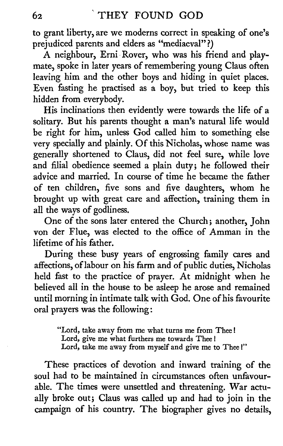to grant liberty, are we moderns correct in speaking of one's prejudiced parents and elders as "mediaeval"?)

A neighbour, Erni Rover, who was his friend and playmate, spoke in later years of remembering young Glaus often leaving him and the other boys and hiding in quiet places. Even fasting he practised as <sup>a</sup> boy, but tried to keep this hidden from everybody.

His inclinations then evidently were towards the life of <sup>a</sup> solitary. But his parents thought <sup>a</sup> man's natural life would be right for him, unless God called him to something else very specially and plainly. Of this Nicholas, whose name was generally shortened to Claus, did not feel sure, while love and filial obedience seemed <sup>a</sup> plain duty; he followed their advice and married. In course of time he became the father of ten children, five sons and five daughters, whom he brought up with great care and affection, training them in all the ways of godliness.

One of the sons later entered the Church; another, John von der Flue, was elected to the office of Amman in the lifetime of his father.

During these busy years of engrossing family cares and affections, oflabour on his farm and of public duties, Nicholas held fast to the practice of prayer. At midnight when he believed all in the house to be asleep he arose and remained until morning in intimate talk with God. One of his favourite oral prayers was the following :

"Lord, take away from me what turns me from Thee ! Lord, give me what furthers me towards Thee ! Lord, take me away from myself and give me to Thee !"

These practices of devotion and inward training of the soul had to be maintained in circumstances often unfavourable. The times were unsettled and threatening. War actually broke out; Claus was called up and had to join in the campaign of his country. The biographer gives no details,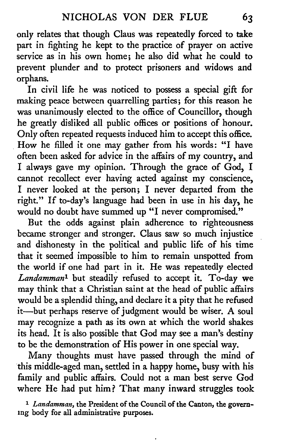only relates that though Glaus was repeatedly forced to take part in fighting he kept to the practice of prayer on active service as in his own home; he also did what he could to prevent plunder and to protect prisoners and widows and orphans.

In civil life he was noticed to possess a special gift for making peace between quarrelling parties; for this reason he was unanimously elected to the office of Councillor, though he greatly disliked all public offices or positions of honour.<br>Only often repeated requests induced him to accept this office. How he filled it one may gather from his words: "I have often been asked for advice in the affairs of my country, and <sup>I</sup> always gave my opinion. Through the grace of God, <sup>I</sup> cannot recollect ever having acted against my conscience, <sup>I</sup> never looked at the person; <sup>I</sup> never departed from the right." If to-day's language had been in use in his day, he would no doubt have summed up "I never compromised."

But the odds against plain adherence to righteousness became stronger and stronger. Claus saw so much injustice and dishonesty in the political and public life of his time that it seemed impossible to him to remain unspotted from the world if one had part in it. He was repeatedly elected Landamman<sup>1</sup> but steadily refused to accept it. To-day we may think that <sup>a</sup> Christian saint at the head of public affairs would be <sup>a</sup> splendid thing, and declare it <sup>a</sup> pity that he refused it-but perhaps reserve of judgment would be wiser. A soul may recognize <sup>a</sup> path as its own at which the world shakes its head. It is also possible that God may see <sup>a</sup> man's destiny to be the demonstration of His power in one special way.

Many thoughts must have passed through the mind of this middle-aged man, settled in a happy home, busy with his family and public affairs. Could not <sup>a</sup> man best serve God where He had put him? That many inward struggles took

<sup>1</sup> Landamman, the President of the Council of the Canton, the governing body for all administrative purposes.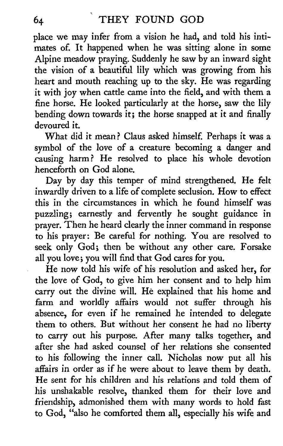place we may infer from <sup>a</sup> vision he had, and told his inti mates of. It happened when he was sitting alone in some Alpine meadow praying. Suddenly he saw by an inward sight the vision of a beautiful lily which was growing from his heart and mouth reaching up to the sky. He was regarding it with joy when cattle came into the field, and with them <sup>a</sup> fine horse. He looked particularly at the horse, saw the lily bending down towards it; the horse snapped at it and finally devoured it.

What did it mean ? Glaus asked himself. Perhaps it was <sup>a</sup> symbol of the love of <sup>a</sup> creature becoming <sup>a</sup> danger and causing harm? He resolved to place his whole devotion henceforth on God alone.

Day by day this temper of mind strengthened. He felt inwardly driven to <sup>a</sup> life of complete seclusion. How to effect this in the circumstances in which he found himself was puzzling; earnestly and fervently he sought guidance in prayer. Then he heard clearly the inner command in response to his prayer: Be careful for nothing. You are resolved to seek only God; then be without any other care. Forsake all you love; you will find that God cares for you.

He now told his wife of his resolution and asked her, for the love of God, to give him her consent and to help him carry out the divine will. He explained that his home and farm and worldly affairs would not suffer through his absence, for even if he remained he intended to delegate them to others. But without her consent he had no liberty to carry out his purpose. After many talks together, and after she had asked counsel of her relations she consented to his following the inner call. Nicholas now put all his He sent for his children and his relations and told them of his unshakable resolve, thanked them for their love and friendship, admonished them with many words to hold fast to God, "also he comforted them all, especially his wife and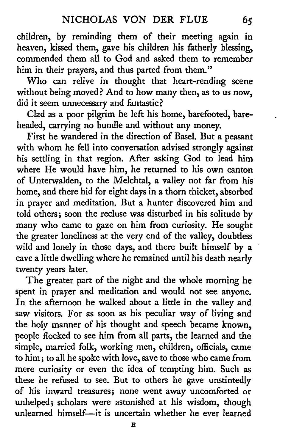children, by reminding them of their meeting again in heaven, kissed them, gave his children his fatherly blessing, commended them all to God and asked them to remember him in their prayers, and thus parted from them."

Who can relive in thought that heart-rending scene without being moved? And to how many then, as to us now, did it seem unnecessary and fantastic?

Clad as a poor pilgrim he left his home, barefooted, bareheaded, carrying no bundle and without any money.

First he wandered in the direction of Basel. But a peasant with whom he fell into conversation advised strongly against his settling in that region. After asking God to lead him where He would have him, he returned to his own canton of Unterwalden, to the Melchtal, <sup>a</sup> valley not far from his home, and there hid for eight days in a thorn thicket, absorbed in prayer and meditation. But a hunter discovered him and told others; soon the recluse was disturbed in his solitude by many who came to gaze on him from curiosity. He sought the greater loneliness at the very end of the valley, doubtless wild and lonely in those days, and there built himself by <sup>a</sup> cave <sup>a</sup> little dwelling where he remained until his death nearly

The greater part of the night and the whole morning he spent in prayer and meditation and would not see anyone. In the afternoon he walked about a little in the valley and saw visitors. For as soon as his peculiar way of living and the holy manner of his thought and speech became known, people flocked to see him from all parts, the learned and the simple, married folk, working men, children, officials, came to him; to all he spoke with love, save to those who came from mere curiosity or even the idea of tempting him. Such as these he refused to see. But to others he gave unstintedly of his inward treasures; none went away uncomforted or unhelped; scholars were astonished at his wisdom, though unlearned himself-it is uncertain whether he ever learned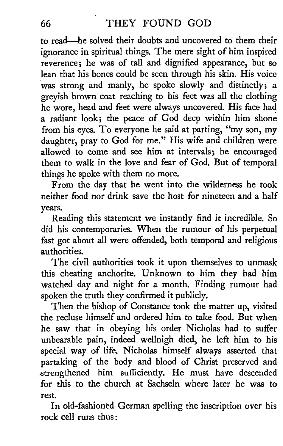to read—he solved their doubts and uncovered to them their ignorance in spiritual things. The mere sight of him inspired reverence; he was of tall and dignified appearance, but so lean that his bones could be seen through his skin. His voice was strong and manly, he spoke slowly and distinctly; a greyish brown coat reaching to his feet was all the clothing he wore, head and feet were always uncovered. His face had <sup>a</sup> radiant look; the peace of God deep within him shone from his eyes. To everyone he said at parting, "my son, my daughter, pray to God for me." His wife and children were allowed to come and see him at intervals; he encouraged them to walk in the love and fear of God. But of temporal things he spoke with them no more.

From the day that he went into the wilderness he took neither food nor drink save the host for nineteen and a half years.

Reading this statement we instantly find it incredible. So did his contemporaries. When the rumour of his perpetual fast got about all were offended, both temporal and religious authorities.

The civil authorities took it upon themselves to unmask this cheating anchorite. Unknown to him they had him watched day and night for <sup>a</sup> month. Finding rumour had spoken the truth they confirmed it publicly.

Then the bishop of Constance took the matter up, visited the recluse himself and ordered him to take food. But when he saw that in obeying his order Nicholas had to suffer unbearable pain, indeed wellnigh died, he left him to his special way of life. Nicholas himself always asserted that partaking of the body and blood of Christ preserved and strengthened him sufficiently. He must have descended for this to the church at Sachseln where later he was to rest.

In old-fashioned German spelling the inscription over his rock cell runs thus :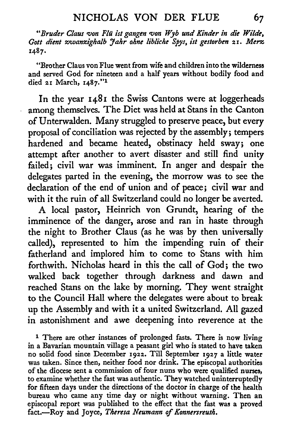"Bruder Claus von Flü ist gangen von Wyb und Kinder in die Wilde, Gott dient zwanzighalb Jahr ohne libliche Spys, ist gestorben 21. Merz 1487.

"Brother Claus von Flue went from wife and children into the wilderness and served God for nineteen and <sup>a</sup> half years without bodily food and died 21 March, I487-" 1

In the year 1481 the Swiss Cantons were at loggerheads among themselves. The Diet was held at Stans in the Canton of Unterwalden. Many struggled to preserve peace, but every proposal of conciliation was rejected by the assembly; tempers hardened and became heated, obstinacy held sway; one attempt after another to avert disaster and still find unity failed; civil war was imminent. In anger and despair the delegates parted in the evening, the morrow was to see the declaration of the end of union and of peace; civil war and with it the ruin of all Switzerland could no longer be averted.

A local pastor, Heinrich von Grundt, hearing of the imminence of the danger, arose and ran in haste through the night to Brother Claus (as he was by then universally called), represented to him the impending ruin of their fatherland and implored him to come to Stans with him forthwith. Nicholas heard in this the call of God; the two walked back together through darkness and dawn and reached Stans on the lake by morning. They went straight to the Council Hall where the delegates were about to break up the Assembly and with it <sup>a</sup> united Switzerland. All gazed in astonishment and awe deepening into reverence at the

<sup>1</sup> There are other instances of prolonged fasts. There is now living in <sup>a</sup> Bavarian mountain village <sup>a</sup> peasant girl who is stated to have taken no solid food since December 1922. Till September 1927 <sup>a</sup> little water was taken. Since then, neither food nor drink. The episcopal authorities of the diocese sent <sup>a</sup> commission of four nuns who were qualified nurses, to examine whether the fast was authentic. They watched uninterruptedly for fifteen days under the directions of the doctor in charge of the health bureau who came any time day or night without warning. Then an episcopal report was published to the effect that the fast was <sup>a</sup> proved fact.-Roy and Joyce, Theresa Neumann of Konnersreuth.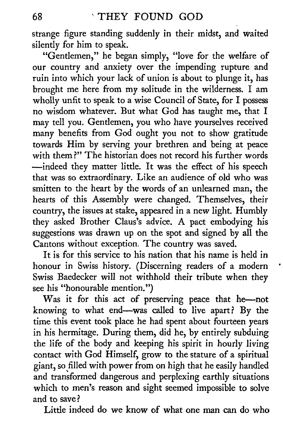strange figure standing suddenly in their midst, and waited silently for him to speak.

"Gentlemen," he began simply, "love for the welfare of our country and anxiety over the impending rupture and ruin into which your lack of union is about to plunge it, has brought me here from my solitude in the wilderness. <sup>I</sup> am wholly unfit to speak to a wise Council of State, for I possess no wisdom whatever. But what God has taught me, that <sup>I</sup> may tell you. Gentlemen, you who have yourselves received many benefits from God ought you not to show gratitude towards Him by serving your brethren and being at peace with them?" The historian does not record his further words indeed they matter little. It was the effect of his speech that was so extraordinary. Like an audience of old who was smitten to the heart by the words of an unlearned man, the hearts of this Assembly were changed. Themselves, their country, the issues at stake, appeared in <sup>a</sup> new light. Humbly they asked Brother Claus's advice. A pact embodying his suggestions was drawn up on the spot and signed by all the Cantons without exception. The country was saved.

It is for this service to his nation that his name is held in honour in Swiss history. (Discerning readers of <sup>a</sup> modern Swiss Baedecker will not withhold their tribute when they see his "honourable mention.")

Was it for this act of preserving peace that he-not knowing to what end-was called to live apart? By the time this event took place he had spent about fourteen years in his hermitage. During them, did he, by entirely subduing the life of the body and keeping his spirit in hourly living contact with God Himself, grow to the stature of <sup>a</sup> spiritual giant, so filled with power from on high that he easily handled and transformed dangerous and perplexing earthly situations which to men's reason and sight seemed impossible to solve and to save ?

Little indeed do we know of what one man can do who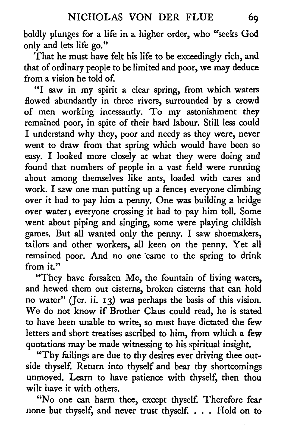boldly plunges for <sup>a</sup> life in <sup>a</sup> higher order, who "seeks God only and lets life go."

That he must have felt his life to be exceedingly rich, and that of ordinary people to be limited and poor, we may deduce from a vision he told of.

"I saw in my spirit <sup>a</sup> clear spring, from which waters flowed abundantly in three rivers, surrounded by a crowd of men working incessantly. To my astonishment they remained poor, in spite of their hard labour. Still less could <sup>I</sup> understand why they, poor and needy as they were, never went to draw from that spring which would have been so easy. found that numbers of people in <sup>a</sup> vast field were running easy. I looked more closely at what they were doing and about among themselves like ants, loaded with cares and work. I saw one man putting up a fence; everyone climbing over it had to pay him <sup>a</sup> penny. One was building <sup>a</sup> bridge over water; everyone crossing it had to pay him toll. Some went about piping and singing, some were playing childish games. But all wanted only the penny. <sup>I</sup> saw shoemakers, tailors and other workers, all keen on the penny. Yet all remained poor. And no one came to the spring to drink from it."

"They have forsaken Me, the fountain of living waters, and hewed them out cisterns, broken cisterns that can hold no water" (Jer. ii.  $13$ ) was perhaps the basis of this vision. We do not know if Brother Claus could read, he is stated to have been unable to write, so must have dictated the few letters and short treatises ascribed to him, from which a few quotations may be made witnessing to his spiritual insight.

"Thy failings are due to thy desires ever driving thee outside thyself. Return into thyself and bear thy shortcomings unmoved. Learn to have patience with thyself, then thou wilt have it with others.

"No one can harm thee, except thyself. Therefore fear none but thyself, and never trust thyself. . . . Hold on to